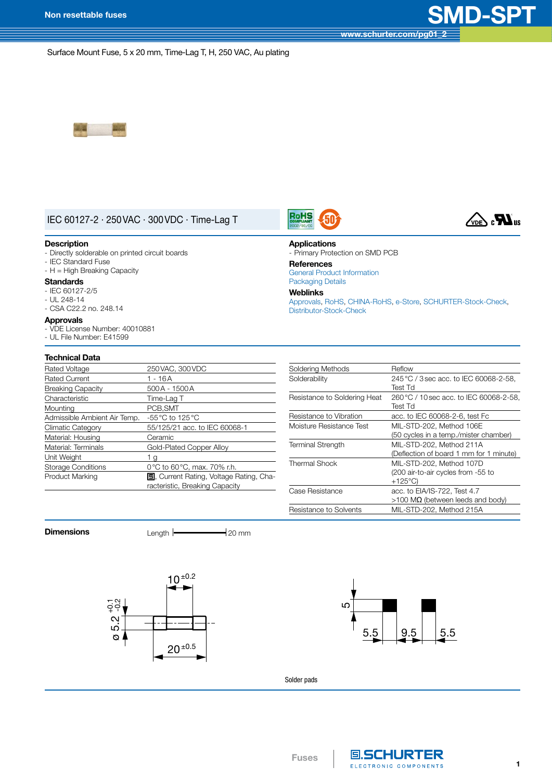**[www.schurter.com/pg01\\_2](http://www.schurter.com/pg01_2)**

Surface Mount Fuse, 5 x 20 mm, Time-Lag T, H, 250 VAC, Au plating



## IEC 60127-2 · 250VAC · 300VDC · Time-Lag T

### **Description**

- Directly solderable on printed circuit boards
- IEC Standard Fuse
- H = High Breaking Capacity

## **Standards**

- - IEC 60127-2/5
- $-$  UL 248-14
- CSA C22.2 no. 248.14

## **Approvals**

- VDE License Number: 40010881

## - UL File Number: E41599

| <b>Technical Data</b> |  |
|-----------------------|--|
|                       |  |
|                       |  |

| Rated Voltage                | 250 VAC, 300 VDC                                |
|------------------------------|-------------------------------------------------|
| <b>Rated Current</b>         | 1 - 16A                                         |
| <b>Breaking Capacity</b>     | 500A - 1500A                                    |
| Characteristic               | Time-Lag T                                      |
| Mounting                     | PCB, SMT                                        |
| Admissible Ambient Air Temp. | -55 °C to 125 °C                                |
| <b>Climatic Category</b>     | 55/125/21 acc. to IEC 60068-1                   |
| Material: Housing            | Ceramic                                         |
| Material: Terminals          | Gold-Plated Copper Alloy                        |
| Unit Weight                  | 1 g                                             |
| <b>Storage Conditions</b>    | 0°C to 60°C, max. 70% r.h.                      |
| <b>Product Marking</b>       | <b>国</b> , Current Rating, Voltage Rating, Cha- |
|                              | racteristic, Breaking Capacity                  |
|                              |                                                 |

|--|--|



## **Applications**

- Primary Protection on SMD PCB **References**

## General Product [Information](http://www.schurter.ch/pdf/english/GS_general_product_information.pdf)

[Packaging](http://www.schurter.ch/pdf/english/GS_packaging_details.pdf) Details

**Weblinks**

[Approvals](http://www.schurter.com/approvals), [RoHS,](http://www.schurter.com/rohs) [CHINA-RoHS,](http://www.schurter.com/china-rohs) [e-Store](http://www.schurterinc.com/estore/merchant.ihtml?cid=422&step=2), [SCHURTER-Stock-Check,](http://www.schurter.com/stockcheck) [Distributor-Stock-Check](http://www.schurter.ch/catalog/querydist.asp)

| Soldering Methods            | Reflow                                  |
|------------------------------|-----------------------------------------|
| Solderability                | 245 °C / 3 sec acc. to IEC 60068-2-58.  |
|                              | Test Td                                 |
| Resistance to Soldering Heat | 260 °C / 10 sec acc. to IEC 60068-2-58, |
|                              | Test Td                                 |
| Resistance to Vibration      | acc. to IEC 60068-2-6, test Fc          |
| Moisture Resistance Test     | MIL-STD-202, Method 106E                |
|                              | (50 cycles in a temp./mister chamber)   |
| <b>Terminal Strength</b>     | MIL-STD-202, Method 211A                |
|                              | (Deflection of board 1 mm for 1 minute) |
| Thermal Shock                | MIL-STD-202, Method 107D                |
|                              | (200 air-to-air cycles from -55 to      |
|                              | $+125^{\circ}$ C)                       |
| Case Resistance              | acc. to EIA/IS-722, Test 4.7            |
|                              | $>100$ MΩ (between leeds and body)      |
| Resistance to Solvents       | MIL-STD-202. Method 215A                |
|                              |                                         |

**Dimensions** Length  $\leftarrow$  20 mm





Solder pads

**Fuses**

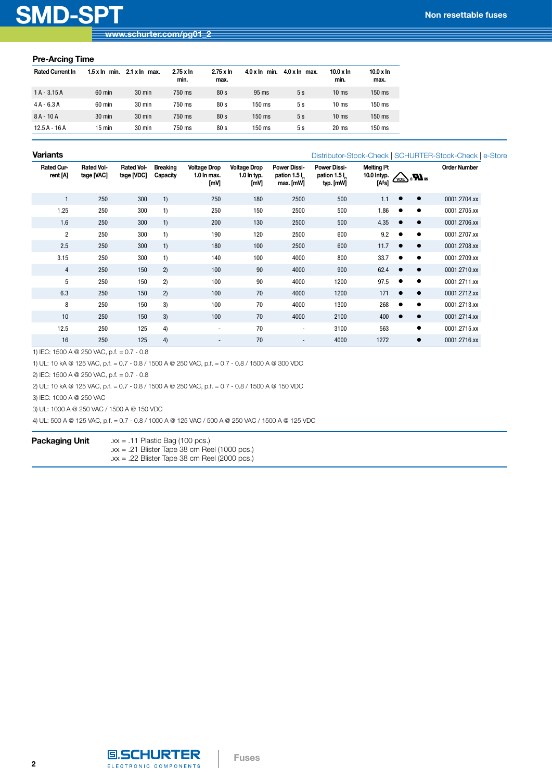# **SMD-SPT Non resettable fuses**

## **Pre-Arcing Time**

| <b>Rated Current In</b> | $1.5 \times \ln$ min. | $2.1 \times \ln$ max. | $2.75 \times \ln$<br>min. | $2.75 \times \ln$<br>max. | $4.0 \times \ln$ min. | $4.0 x \ln \text{max}$ . | $10.0 \times \ln$<br>min. | $10.0 \times \ln$<br>max. |
|-------------------------|-----------------------|-----------------------|---------------------------|---------------------------|-----------------------|--------------------------|---------------------------|---------------------------|
| $1A - 3.15A$            | 60 min                | 30 min                | 750 ms                    | 80 <sub>s</sub>           | 95 ms                 | 5s                       | 10 <sub>ms</sub>          | $150$ ms                  |
| $4A - 6.3A$             | 60 min                | 30 min                | 750 ms                    | 80 <sub>s</sub>           | 150 ms                | 5s                       | 10 <sub>ms</sub>          | 150 ms                    |
| $8A - 10A$              | $30 \text{ min}$      | $30 \text{ min}$      | 750 ms                    | 80 <sub>s</sub>           | $150$ ms              | 5s                       | 10 <sub>ms</sub>          | $150$ ms                  |
| $12.5A - 16A$           | $15 \text{ min}$      | 30 min                | 750 ms                    | 80 <sub>s</sub>           | 150 ms                | 5s                       | 20 <sub>ms</sub>          | 150 ms                    |

## **Variants**

[Distributor-Stock-Check](http://www.schurter.ch/catalog/querydist.asp) | [SCHURTER-Stock-Check](http://www.schurter.com/stockcheck) | [e-Store](http://www.schurterinc.com/estore/merchant.ihtml?cid=422&step=2)

| Rated Cur-<br>rent [A] | Rated Vol-<br>tage [VAC] | <b>Rated Vol-</b><br>tage [VDC] | <b>Breaking</b><br>Capacity | <b>Voltage Drop</b><br>1.0 In max.<br>[mV] | <b>Voltage Drop</b><br>1.0 In typ.<br>[mV] | <b>Power Dissi-</b><br>pation 1.5 l <sub>n</sub><br>max. [mW] | <b>Power Dissi-</b><br>pation 1.5 l <sub>n</sub><br>typ. [mW] | Melting <sup>2</sup> t<br>10.0 Intyp.<br>[A <sup>2</sup> s] | $\sqrt{\sqrt{\log n}}$ | <b>Order Number</b> |
|------------------------|--------------------------|---------------------------------|-----------------------------|--------------------------------------------|--------------------------------------------|---------------------------------------------------------------|---------------------------------------------------------------|-------------------------------------------------------------|------------------------|---------------------|
|                        | 250                      | 300                             | 1)                          | 250                                        | 180                                        | 2500                                                          | 500                                                           | 1.1                                                         | $\bullet$<br>$\bullet$ | 0001.2704.xx        |
| 1.25                   | 250                      | 300                             | 1)                          | 250                                        | 150                                        | 2500                                                          | 500                                                           | 1.86                                                        | $\bullet$<br>$\bullet$ | 0001.2705.xx        |
| 1.6                    | 250                      | 300                             | 1)                          | 200                                        | 130                                        | 2500                                                          | 500                                                           | 4.35                                                        | $\bullet$<br>$\bullet$ | 0001.2706.xx        |
| $\overline{c}$         | 250                      | 300                             | 1)                          | 190                                        | 120                                        | 2500                                                          | 600                                                           | 9.2                                                         | $\bullet$<br>$\bullet$ | 0001.2707.xx        |
| 2.5                    | 250                      | 300                             | 1)                          | 180                                        | 100                                        | 2500                                                          | 600                                                           | 11.7                                                        | $\bullet$<br>$\bullet$ | 0001.2708.xx        |
| 3.15                   | 250                      | 300                             | 1)                          | 140                                        | 100                                        | 4000                                                          | 800                                                           | 33.7                                                        | $\bullet$<br>$\bullet$ | 0001.2709.xx        |
| $\overline{4}$         | 250                      | 150                             | 2)                          | 100                                        | 90                                         | 4000                                                          | 900                                                           | 62.4                                                        | $\bullet$<br>$\bullet$ | 0001.2710.xx        |
| 5                      | 250                      | 150                             | 2)                          | 100                                        | 90                                         | 4000                                                          | 1200                                                          | 97.5                                                        | $\bullet$<br>$\bullet$ | 0001.2711.xx        |
| 6.3                    | 250                      | 150                             | 2)                          | 100                                        | 70                                         | 4000                                                          | 1200                                                          | 171                                                         | $\bullet$<br>$\bullet$ | 0001.2712.xx        |
| 8                      | 250                      | 150                             | 3)                          | 100                                        | 70                                         | 4000                                                          | 1300                                                          | 268                                                         | $\bullet$<br>$\bullet$ | 0001.2713.xx        |
| 10                     | 250                      | 150                             | 3)                          | 100                                        | 70                                         | 4000                                                          | 2100                                                          | 400                                                         | $\bullet$<br>$\bullet$ | 0001.2714.xx        |
| 12.5                   | 250                      | 125                             | 4)                          | ٠                                          | 70                                         | $\overline{\phantom{a}}$                                      | 3100                                                          | 563                                                         | $\bullet$              | 0001.2715.xx        |
| 16                     | 250                      | 125                             | 4)                          |                                            | 70                                         |                                                               | 4000                                                          | 1272                                                        | $\bullet$              | 0001.2716.xx        |

1) IEC: 1500 A @ 250 VAC, p.f. = 0.7 - 0.8

1) UL: 10 kA @ 125 VAC, p.f. = 0.7 - 0.8 / 1500 A @ 250 VAC, p.f. = 0.7 - 0.8 / 1500 A @ 300 VDC

2) IEC: 1500 A @ 250 VAC, p.f. = 0.7 - 0.8

2) UL: 10 kA @ 125 VAC, p.f. = 0.7 - 0.8 / 1500 A @ 250 VAC, p.f. = 0.7 - 0.8 / 1500 A @ 150 VDC

3) IEC: 1000 A @ 250 VAC

3) UL: 1000 A @ 250 VAC / 1500 A @ 150 VDC

4) UL: 500 A @ 125 VAC, p.f. = 0.7 - 0.8 / 1000 A @ 125 VAC / 500 A @ 250 VAC / 1500 A @ 125 VDC

## **Packaging Unit** .xx = .11 Plastic Bag (100 pcs.)

 $.xx = .21$  Blister Tape 38 cm Reel (1000 pcs.) .xx = .22 Blister Tape 38 cm Reel (2000 pcs.)